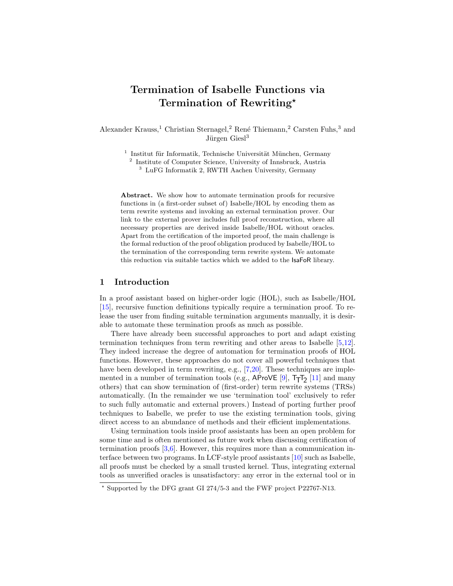# Termination of Isabelle Functions via Termination of Rewriting\*

Alexander Krauss,<sup>1</sup> Christian Sternagel,<sup>2</sup> René Thiemann,<sup>2</sup> Carsten Fuhs,<sup>3</sup> and Jürgen  $\text{Gies} \mathit{l}^3$ 

<sup>1</sup> Institut für Informatik, Technische Universität München, Germany

2 Institute of Computer Science, University of Innsbruck, Austria

<sup>3</sup> LuFG Informatik 2, RWTH Aachen University, Germany

Abstract. We show how to automate termination proofs for recursive functions in (a first-order subset of) Isabelle/HOL by encoding them as term rewrite systems and invoking an external termination prover. Our link to the external prover includes full proof reconstruction, where all necessary properties are derived inside Isabelle/HOL without oracles. Apart from the certification of the imported proof, the main challenge is the formal reduction of the proof obligation produced by Isabelle/HOL to the termination of the corresponding term rewrite system. We automate this reduction via suitable tactics which we added to the IsaFoR library.

# 1 Introduction

In a proof assistant based on higher-order logic (HOL), such as Isabelle/HOL [\[15\]](#page-15-0), recursive function definitions typically require a termination proof. To release the user from finding suitable termination arguments manually, it is desirable to automate these termination proofs as much as possible.

There have already been successful approaches to port and adapt existing termination techniques from term rewriting and other areas to Isabelle [\[5,](#page-15-1)[12\]](#page-15-2). They indeed increase the degree of automation for termination proofs of HOL functions. However, these approaches do not cover all powerful techniques that have been developed in term rewriting, e.g., [\[7](#page-15-3)[,20\]](#page-15-4). These techniques are imple-mented in a number of termination tools (e.g., AProVE [\[9\]](#page-15-5),  $T_{\overline{1}}T_{2}$  [\[11\]](#page-15-6) and many others) that can show termination of (first-order) term rewrite systems (TRSs) automatically. (In the remainder we use 'termination tool' exclusively to refer to such fully automatic and external provers.) Instead of porting further proof techniques to Isabelle, we prefer to use the existing termination tools, giving direct access to an abundance of methods and their efficient implementations.

Using termination tools inside proof assistants has been an open problem for some time and is often mentioned as future work when discussing certification of termination proofs [\[3](#page-15-7)[,6\]](#page-15-8). However, this requires more than a communication interface between two programs. In LCF-style proof assistants [\[10\]](#page-15-9) such as Isabelle, all proofs must be checked by a small trusted kernel. Thus, integrating external tools as unverified oracles is unsatisfactory: any error in the external tool or in

 $*$  Supported by the DFG grant GI 274/5-3 and the FWF project P22767-N13.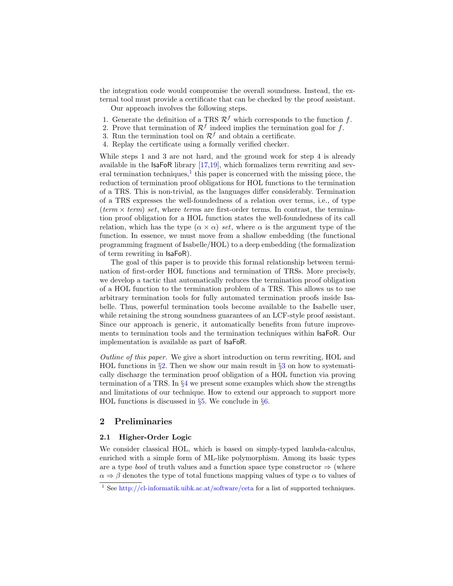the integration code would compromise the overall soundness. Instead, the external tool must provide a certificate that can be checked by the proof assistant.

Our approach involves the following steps.

- 1. Generate the definition of a TRS  $\mathcal{R}^f$  which corresponds to the function f.
- 2. Prove that termination of  $\mathcal{R}^f$  indeed implies the termination goal for f.
- 3. Run the termination tool on  $\mathcal{R}^f$  and obtain a certificate.
- 4. Replay the certificate using a formally verified checker.

While steps 1 and 3 are not hard, and the ground work for step 4 is already available in the  $IsaFoR$  library  $[17,19]$  $[17,19]$ , which formalizes term rewriting and several termination techniques, $\frac{1}{1}$  $\frac{1}{1}$  $\frac{1}{1}$  this paper is concerned with the missing piece, the reduction of termination proof obligations for HOL functions to the termination of a TRS. This is non-trivial, as the languages differ considerably. Termination of a TRS expresses the well-foundedness of a relation over terms, i.e., of type  $(term \times term) set$ , where terms are first-order terms. In contrast, the termination proof obligation for a HOL function states the well-foundedness of its call relation, which has the type  $(\alpha \times \alpha)$  set, where  $\alpha$  is the argument type of the function. In essence, we must move from a shallow embedding (the functional programming fragment of Isabelle/HOL) to a deep embedding (the formalization of term rewriting in IsaFoR).

The goal of this paper is to provide this formal relationship between termination of first-order HOL functions and termination of TRSs. More precisely, we develop a tactic that automatically reduces the termination proof obligation of a HOL function to the termination problem of a TRS. This allows us to use arbitrary termination tools for fully automated termination proofs inside Isabelle. Thus, powerful termination tools become available to the Isabelle user, while retaining the strong soundness guarantees of an LCF-style proof assistant. Since our approach is generic, it automatically benefits from future improvements to termination tools and the termination techniques within IsaFoR. Our implementation is available as part of IsaFoR.

Outline of this paper. We give a short introduction on term rewriting, HOL and HOL functions in  $\S2$ . Then we show our main result in  $\S3$  $\S3$  on how to systematically discharge the termination proof obligation of a HOL function via proving termination of a TRS. In §[4](#page-11-0) we present some examples which show the strengths and limitations of our technique. How to extend our approach to support more HOL functions is discussed in §[5.](#page-13-0) We conclude in §[6.](#page-14-0)

# <span id="page-1-1"></span>2 Preliminaries

#### 2.1 Higher-Order Logic

We consider classical HOL, which is based on simply-typed lambda-calculus, enriched with a simple form of ML-like polymorphism. Among its basic types are a type *bool* of truth values and a function space type constructor  $\Rightarrow$  (where  $\alpha \Rightarrow \beta$  denotes the type of total functions mapping values of type  $\alpha$  to values of

<span id="page-1-0"></span><sup>&</sup>lt;sup>1</sup> See <http://cl-informatik.uibk.ac.at/software/ceta> for a list of supported techniques.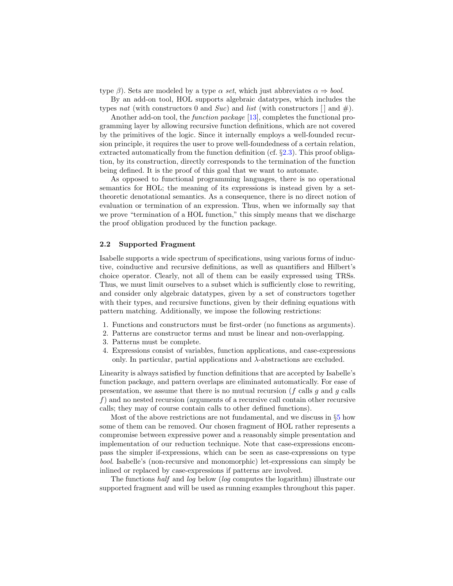type  $\beta$ ). Sets are modeled by a type  $\alpha$  set, which just abbreviates  $\alpha \Rightarrow \text{bool}$ .

By an add-on tool, HOL supports algebraic datatypes, which includes the types nat (with constructors 0 and Suc) and list (with constructors  $[$ ] and  $#$ ).

Another add-on tool, the *function package* [\[13\]](#page-15-12), completes the functional programming layer by allowing recursive function definitions, which are not covered by the primitives of the logic. Since it internally employs a well-founded recursion principle, it requires the user to prove well-foundedness of a certain relation, extracted automatically from the function definition (cf. §[2.3\)](#page-3-0). This proof obligation, by its construction, directly corresponds to the termination of the function being defined. It is the proof of this goal that we want to automate.

As opposed to functional programming languages, there is no operational semantics for HOL; the meaning of its expressions is instead given by a settheoretic denotational semantics. As a consequence, there is no direct notion of evaluation or termination of an expression. Thus, when we informally say that we prove "termination of a HOL function," this simply means that we discharge the proof obligation produced by the function package.

## <span id="page-2-0"></span>2.2 Supported Fragment

Isabelle supports a wide spectrum of specifications, using various forms of inductive, coinductive and recursive definitions, as well as quantifiers and Hilbert's choice operator. Clearly, not all of them can be easily expressed using TRSs. Thus, we must limit ourselves to a subset which is sufficiently close to rewriting, and consider only algebraic datatypes, given by a set of constructors together with their types, and recursive functions, given by their defining equations with pattern matching. Additionally, we impose the following restrictions:

- 1. Functions and constructors must be first-order (no functions as arguments).
- 2. Patterns are constructor terms and must be linear and non-overlapping.
- 3. Patterns must be complete.
- 4. Expressions consist of variables, function applications, and case-expressions only. In particular, partial applications and  $\lambda$ -abstractions are excluded.

Linearity is always satisfied by function definitions that are accepted by Isabelle's function package, and pattern overlaps are eliminated automatically. For ease of presentation, we assume that there is no mutual recursion ( $f$  calls  $g$  and  $g$  calls f) and no nested recursion (arguments of a recursive call contain other recursive calls; they may of course contain calls to other defined functions).

Most of the above restrictions are not fundamental, and we discuss in  $\S5$  $\S5$  how some of them can be removed. Our chosen fragment of HOL rather represents a compromise between expressive power and a reasonably simple presentation and implementation of our reduction technique. Note that case-expressions encompass the simpler if-expressions, which can be seen as case-expressions on type bool. Isabelle's (non-recursive and monomorphic) let-expressions can simply be inlined or replaced by case-expressions if patterns are involved.

The functions half and log below (log computes the logarithm) illustrate our supported fragment and will be used as running examples throughout this paper.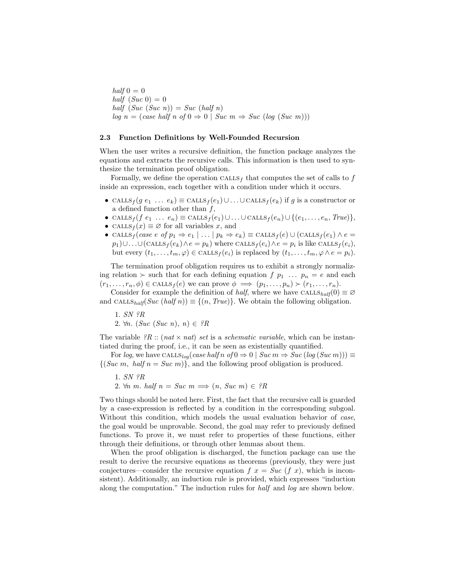half  $0 = 0$ half  $(Suc\ 0) = 0$ half  $(Suc\ (Suc\ n)) = Succ\ (half\ n)$  $log n = (case \; half \; n \; of \; 0 \Rightarrow 0 \; | \; Succ \; m \Rightarrow Succ \; (log \; (Suc \; m)))$ 

## <span id="page-3-0"></span>2.3 Function Definitions by Well-Founded Recursion

When the user writes a recursive definition, the function package analyzes the equations and extracts the recursive calls. This information is then used to synthesize the termination proof obligation.

Formally, we define the operation  $\text{CALLS}_f$  that computes the set of calls to f inside an expression, each together with a condition under which it occurs.

- CALLS $_f(g e_1 \ldots e_k) \equiv$ CALLS $_f(e_1) \cup \ldots \cup$ CALLS $_f(e_k)$  if g is a constructor or a defined function other than  $f$ ,
- CALLS $_f(f \ e_1 \ \ldots \ e_n) \equiv$  CALLS $_f(e_1) \cup \ldots \cup$ CALLS $_f(e_n) \cup \{(e_1, \ldots, e_n, True)\},$
- CALLS $f(x) \equiv \emptyset$  for all variables x, and
- CALLS<sub>f</sub> (case e of  $p_1 \Rightarrow e_1 \mid \ldots \mid p_k \Rightarrow e_k) \equiv$  CALLS<sub>f</sub>(e)  $\cup$  (CALLS<sub>f</sub>(e<sub>1</sub>)  $\land$  e =  $p_1) \cup \ldots \cup (\text{CALLS}_f(e_k) \wedge e = p_k)$  where  $\text{CALLS}_f(e_i) \wedge e = p_i$  is like  $\text{CALLS}_f(e_i)$ , but every  $(t_1, \ldots, t_m, \varphi) \in \text{CALLS}_f(e_i)$  is replaced by  $(t_1, \ldots, t_m, \varphi \wedge e = p_i)$ .

The termination proof obligation requires us to exhibit a strongly normalizing relation  $\succ$  such that for each defining equation f  $p_1 \ldots p_n = e$  and each  $(r_1, \ldots, r_n, \phi) \in \text{CALLS}_f(e)$  we can prove  $\phi \implies (p_1, \ldots, p_n) \succ (r_1, \ldots, r_n).$ 

Consider for example the definition of *half*, where we have  $\text{CALLS}_{half}(0) \equiv \emptyset$ and CALLS<sub>half</sub>(Suc (half n))  $\equiv \{(n, True)\}\.$  We obtain the following obligation.

1. SN ?R 2.  $\forall n.$  (Suc (Suc n), n)  $\in$  ?R

The variable  ${}^{\circ}R$  :: (nat  $\times$  nat) set is a schematic variable, which can be instantiated during the proof, i.e., it can be seen as existentially quantified.

For log, we have CALLS<sub>log</sub>(case half n of  $0 \Rightarrow 0 \mid \textit{Suc~} m \Rightarrow \textit{Suc~} (\textit{log~} (\textit{Suc~} m)) \equiv$  $\{(Suc\ m, half\ n = Succ\ m)\},$  and the following proof obligation is produced.

1. SN ?R 2.  $\forall n \ m. \ half \ n = Succ \ m \Longrightarrow (n, Succ \ m) \in ?R$ 

Two things should be noted here. First, the fact that the recursive call is guarded by a case-expression is reflected by a condition in the corresponding subgoal. Without this condition, which models the usual evaluation behavior of *case*, the goal would be unprovable. Second, the goal may refer to previously defined functions. To prove it, we must refer to properties of these functions, either through their definitions, or through other lemmas about them.

When the proof obligation is discharged, the function package can use the result to derive the recursive equations as theorems (previously, they were just conjectures—consider the recursive equation  $f(x) = Suc(f(x))$ , which is inconsistent). Additionally, an induction rule is provided, which expresses "induction along the computation." The induction rules for half and log are shown below.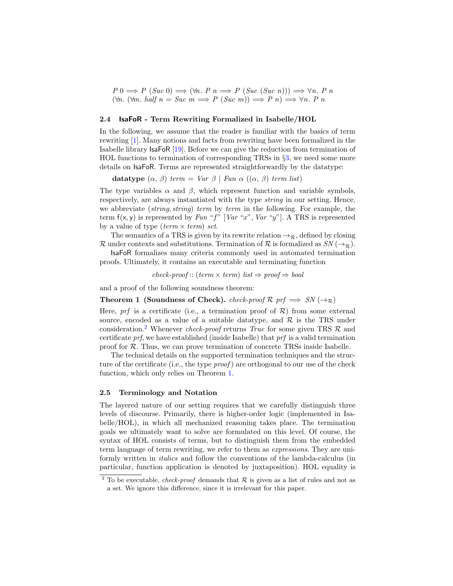$P 0 \Longrightarrow P(Suc 0) \Longrightarrow (\forall n. \ P n \Longrightarrow P(Suc (Suc n))) \Longrightarrow \forall n. \ P n$  $(\forall n. (\forall m. \text{half } n = \textit{Suc } m \Longrightarrow P (\textit{Suc } m)) \Longrightarrow P n \Longrightarrow \forall n. P n$ 

#### 2.4 IsaFoR - Term Rewriting Formalized in Isabelle/HOL

In the following, we assume that the reader is familiar with the basics of term rewriting [\[1\]](#page-14-1). Many notions and facts from rewriting have been formalized in the Isabelle library IsaFoR [\[19\]](#page-15-11). Before we can give the reduction from termination of HOL functions to termination of corresponding TRSs in §[3,](#page-5-0) we need some more details on IsaFoR. Terms are represented straightforwardly by the datatype:

datatype  $(\alpha, \beta)$  term = Var  $\beta$  | Fun  $\alpha$   $((\alpha, \beta)$  term list)

The type variables  $\alpha$  and  $\beta$ , which represent function and variable symbols, respectively, are always instantiated with the type *string* in our setting. Hence, we abbreviate (*string, string*) term by term in the following. For example, the term  $f(x, y)$  is represented by Fun "f" [Var "x", Var "y"]. A TRS is represented by a value of type ( $term \times term$ ) set.

The semantics of a TRS is given by its rewrite relation  $\rightarrow_{\mathcal{R}}$ , defined by closing R under contexts and substitutions. Termination of R is formalized as  $SN(\rightarrow_{\mathcal{R}})$ .

IsaFoR formalizes many criteria commonly used in automated termination proofs. Ultimately, it contains an executable and terminating function

<span id="page-4-1"></span>check-proof :: (term  $\times$  term) list  $\Rightarrow$  proof  $\Rightarrow$  bool

and a proof of the following soundness theorem:

## Theorem 1 (Soundness of Check). check-proof  $\mathcal{R}$  prf  $\implies SN(\rightarrow_R)$

Here, *prf* is a certificate (i.e., a termination proof of  $\mathcal{R}$ ) from some external source, encoded as a value of a suitable data type, and  $\mathcal{R}$  is the TRS under consideration.<sup>[2](#page-4-0)</sup> Whenever *check-proof* returns *True* for some given TRS  $\mathcal{R}$  and certificate prf, we have established (inside Isabelle) that prf is a valid termination proof for R. Thus, we can prove termination of concrete TRSs inside Isabelle.

The technical details on the supported termination techniques and the structure of the certificate (i.e., the type *proof*) are orthogonal to our use of the check function, which only relies on Theorem [1.](#page-4-1)

#### 2.5 Terminology and Notation

The layered nature of our setting requires that we carefully distinguish three levels of discourse. Primarily, there is higher-order logic (implemented in Isabelle/HOL), in which all mechanized reasoning takes place. The termination goals we ultimately want to solve are formulated on this level. Of course, the syntax of HOL consists of terms, but to distinguish them from the embedded term language of term rewriting, we refer to them as expressions. They are uniformly written in italics and follow the conventions of the lambda-calculus (in particular, function application is denoted by juxtaposition). HOL equality is

<span id="page-4-0"></span><sup>&</sup>lt;sup>2</sup> To be executable, *check-proof* demands that  $R$  is given as a list of rules and not as a set. We ignore this difference, since it is irrelevant for this paper.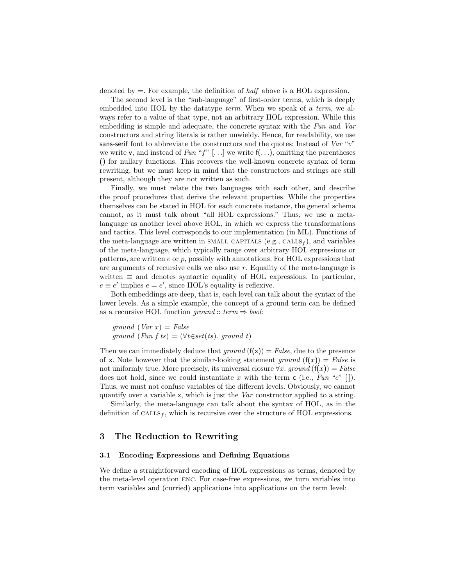denoted by  $=$ . For example, the definition of *half* above is a HOL expression.

The second level is the "sub-language" of first-order terms, which is deeply embedded into HOL by the datatype term. When we speak of a term, we always refer to a value of that type, not an arbitrary HOL expression. While this embedding is simple and adequate, the concrete syntax with the Fun and Var constructors and string literals is rather unwieldy. Hence, for readability, we use sans-serif font to abbreviate the constructors and the quotes: Instead of Var " $v$ " we write v, and instead of Fun "f"  $[\ldots]$  we write  $f(\ldots)$ , omitting the parentheses () for nullary functions. This recovers the well-known concrete syntax of term rewriting, but we must keep in mind that the constructors and strings are still present, although they are not written as such.

Finally, we must relate the two languages with each other, and describe the proof procedures that derive the relevant properties. While the properties themselves can be stated in HOL for each concrete instance, the general schema cannot, as it must talk about "all HOL expressions." Thus, we use a metalanguage as another level above HOL, in which we express the transformations and tactics. This level corresponds to our implementation (in ML). Functions of the meta-language are written in SMALL CAPITALS (e.g., CALLS $_f$ ), and variables of the meta-language, which typically range over arbitrary HOL expressions or patterns, are written  $e$  or  $p$ , possibly with annotations. For HOL expressions that are arguments of recursive calls we also use r. Equality of the meta-language is written  $\equiv$  and denotes syntactic equality of HOL expressions. In particular,  $e \equiv e'$  implies  $e = e'$ , since HOL's equality is reflexive.

Both embeddings are deep, that is, each level can talk about the syntax of the lower levels. As a simple example, the concept of a ground term can be defined as a recursive HOL function ground :: term  $\Rightarrow$  bool:

```
ground (Var x) = Falseground (Fun f ts) = (\forall t \in set(ts). ground t)
```
Then we can immediately deduce that ground  $(f(x)) = False$ , due to the presence of x. Note however that the similar-looking statement ground  $(f(x)) = False$  is not uniformly true. More precisely, its universal closure  $\forall x.$  ground  $(f(x)) = False$ does not hold, since we could instantiate x with the term  $\mathsf{c}$  (i.e., Fun "c" []). Thus, we must not confuse variables of the different levels. Obviously, we cannot quantify over a variable x, which is just the Var constructor applied to a string.

Similarly, the meta-language can talk about the syntax of HOL, as in the definition of CALLS $_f$ , which is recursive over the structure of HOL expressions.

## <span id="page-5-0"></span>3 The Reduction to Rewriting

## 3.1 Encoding Expressions and Defining Equations

We define a straightforward encoding of HOL expressions as terms, denoted by the meta-level operation enc. For case-free expressions, we turn variables into term variables and (curried) applications into applications on the term level: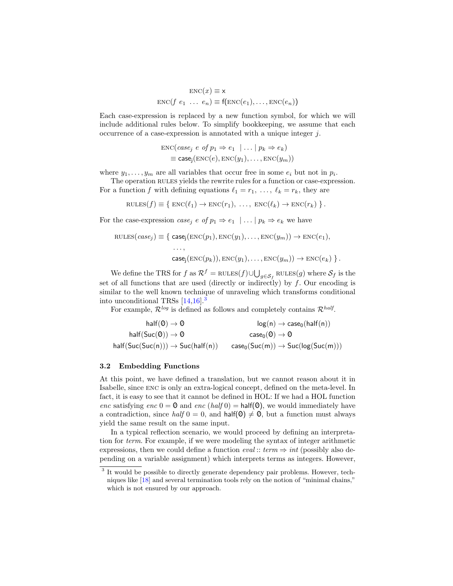$$
ENC(x) \equiv x
$$
  
ENC(f  $e_1 \dots e_n$ )  $\equiv$  f(ENC( $e_1$ ),...,ENC( $e_n$ ))

Each case-expression is replaced by a new function symbol, for which we will include additional rules below. To simplify bookkeeping, we assume that each occurrence of a case-expression is annotated with a unique integer j.

$$
\text{ENC}(case_j e of p_1 \Rightarrow e_1 | \dots | p_k \Rightarrow e_k)
$$
  

$$
\equiv \text{case}_j(\text{ENC}(e), \text{ENC}(y_1), \dots, \text{ENC}(y_m))
$$

where  $y_1, \ldots, y_m$  are all variables that occur free in some  $e_i$  but not in  $p_i$ .

The operation RULES yields the rewrite rules for a function or case-expression. For a function f with defining equations  $\ell_1 = r_1, \ldots, \ell_k = r_k$ , they are

$$
\text{RULES}(f) \equiv \{ \text{ENC}(\ell_1) \to \text{ENC}(r_1), \ldots, \text{ENC}(\ell_k) \to \text{ENC}(r_k) \}.
$$

For the case-expression case<sub>i</sub> e of  $p_1 \Rightarrow e_1 \mid \ldots \mid p_k \Rightarrow e_k$  we have

rules(case<sup>j</sup> ) ≡ { casej(enc(p1), enc(y1), . . . , enc(ym)) → enc(e1), . . . , casej(enc(pk)), enc(y1), . . . , enc(ym)) → enc(ek) } .

We define the TRS for f as  $\mathcal{R}^f = \text{RULES}(f) \cup \bigcup_{g \in \mathcal{S}_f} \text{RULES}(g)$  where  $\mathcal{S}_f$  is the set of all functions that are used (directly or indirectly) by  $f$ . Our encoding is similar to the well known technique of unraveling which transforms conditional into unconditional TRSs [\[14,](#page-15-13)[16\]](#page-15-14).[3](#page-6-0)

For example,  $\mathcal{R}^{log}$  is defined as follows and completely contains  $\mathcal{R}^{half}$ .

$$
\begin{array}{ccc} \operatorname{half}(\mathbf{0}) \rightarrow \mathbf{0} & \operatorname{log}(n) \rightarrow \text{case}_0(\operatorname{half}(n)) \\ \operatorname{half}(\operatorname{Suc}(\mathbf{0})) \rightarrow \mathbf{0} & \operatorname{case}_0(\mathbf{0}) \rightarrow \mathbf{0} \\ \operatorname{half}(\operatorname{Suc}(\operatorname{Suc}(n))) \rightarrow \operatorname{Suc}(\operatorname{half}(n)) & \operatorname{case}_0(\operatorname{Suc}(m)) \rightarrow \operatorname{Suc}(\operatorname{log}(\operatorname{Suc}(m))) \end{array}
$$

#### 3.2 Embedding Functions

At this point, we have defined a translation, but we cannot reason about it in Isabelle, since enc is only an extra-logical concept, defined on the meta-level. In fact, it is easy to see that it cannot be defined in HOL: If we had a HOL function enc satisfying enc  $0 = \mathcal{O}$  and enc (half  $0$ ) = half  $(\mathcal{O})$ , we would immediately have a contradiction, since *half*  $0 = 0$ , and **half** $(0) \neq 0$ , but a function must always yield the same result on the same input.

In a typical reflection scenario, we would proceed by defining an interpretation for term. For example, if we were modeling the syntax of integer arithmetic expressions, then we could define a function  $eval::term \Rightarrow int$  (possibly also depending on a variable assignment) which interprets terms as integers. However,

<span id="page-6-0"></span><sup>&</sup>lt;sup>3</sup> It would be possible to directly generate dependency pair problems. However, techniques like [\[18\]](#page-15-15) and several termination tools rely on the notion of "minimal chains," which is not ensured by our approach.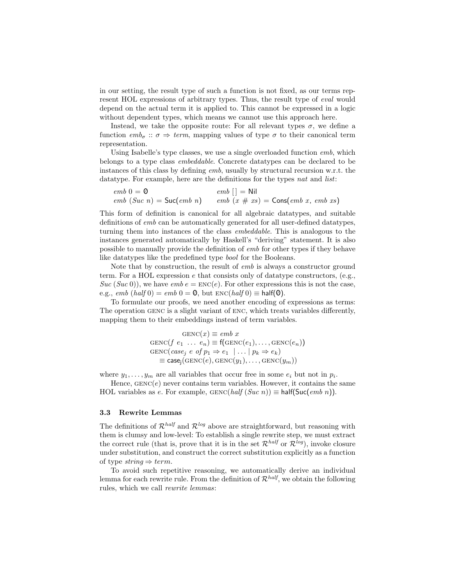in our setting, the result type of such a function is not fixed, as our terms represent HOL expressions of arbitrary types. Thus, the result type of *eval* would depend on the actual term it is applied to. This cannot be expressed in a logic without dependent types, which means we cannot use this approach here.

Instead, we take the opposite route: For all relevant types  $\sigma$ , we define a function  $emb_{\sigma}$ :  $\sigma \Rightarrow term$ , mapping values of type  $\sigma$  to their canonical term representation.

Using Isabelle's type classes, we use a single overloaded function *emb*, which belongs to a type class embeddable. Concrete datatypes can be declared to be instances of this class by defining emb, usually by structural recursion w.r.t. the datatype. For example, here are the definitions for the types *nat* and *list*:

$$
emb 0 = 0
$$
  

$$
emb (Suc n) = \text{Suc}(emb n)
$$
  

$$
emb (x \# xs) = \text{Cons}(emb x, emb xs)
$$

This form of definition is canonical for all algebraic datatypes, and suitable definitions of emb can be automatically generated for all user-defined datatypes, turning them into instances of the class embeddable. This is analogous to the instances generated automatically by Haskell's "deriving" statement. It is also possible to manually provide the definition of emb for other types if they behave like datatypes like the predefined type bool for the Booleans.

Note that by construction, the result of emb is always a constructor ground term. For a HOL expression e that consists only of datatype constructors, (e.g.,  $Suc(Suc(0))$ , we have  $emb e = \text{ENC}(e)$ . For other expressions this is not the case, e.g.,  $emb(half 0) = emb 0 = 0$ , but  $ENC(half 0) \equiv half(0)$ .

To formulate our proofs, we need another encoding of expressions as terms: The operation GENC is a slight variant of ENC, which treats variables differently, mapping them to their embeddings instead of term variables.

$$
GENC(x) \equiv emb \ x
$$
  
GENC(f  $e_1 \ldots e_n$ )  $\equiv$  f(GENC $(e_1), \ldots, GENC(e_n)$ )  
GENC $(case_j e \text{ of } p_1 \Rightarrow e_1 | \ldots | p_k \Rightarrow e_k)$   
 $\equiv case_j(GENC(e), GENC(y_1), \ldots, GENC(y_m))$ 

where  $y_1, \ldots, y_m$  are all variables that occur free in some  $e_i$  but not in  $p_i$ .

Hence,  $GENC(e)$  never contains term variables. However, it contains the same HOL variables as e. For example,  $GENC(half(Suc n)) \equiv \text{half}(Suc(emb n)).$ 

#### 3.3 Rewrite Lemmas

The definitions of  $\mathcal{R}^{half}$  and  $\mathcal{R}^{log}$  above are straightforward, but reasoning with them is clumsy and low-level: To establish a single rewrite step, we must extract the correct rule (that is, prove that it is in the set  $\mathcal{R}^{half}$  or  $\mathcal{R}^{log}$ ), invoke closure under substitution, and construct the correct substitution explicitly as a function of type  $string \Rightarrow term$ .

To avoid such repetitive reasoning, we automatically derive an individual lemma for each rewrite rule. From the definition of  $\mathcal{R}^{\text{half}}$ , we obtain the following rules, which we call rewrite lemmas: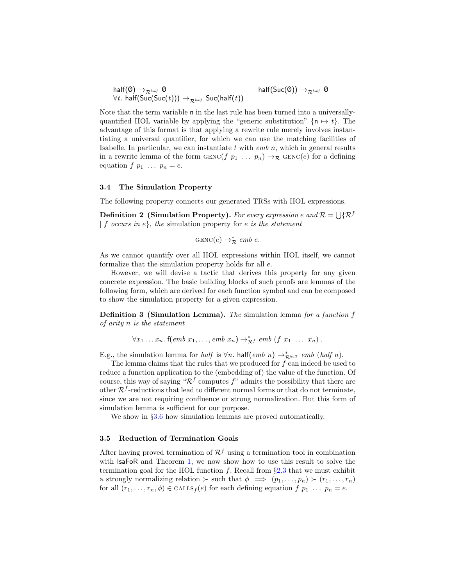$$
\mathrm{half}(\mathsf{0}) \rightarrow_{\mathcal{R}^{half}} \mathsf{0} \qquad \qquad \mathrm{half}(\mathsf{Suc}(\mathsf{0})) \rightarrow_{\mathcal{R}^{half}} \mathsf{0} \\ \forall t. \ \mathrm{half}(\mathsf{Suc}(\mathsf{Suc}(t))) \rightarrow_{\mathcal{R}^{half}} \mathsf{Suc}(\mathsf{half}(t))
$$

Note that the term variable n in the last rule has been turned into a universallyquantified HOL variable by applying the "generic substitution"  $\{n \mapsto t\}$ . The advantage of this format is that applying a rewrite rule merely involves instantiating a universal quantifier, for which we can use the matching facilities of Isabelle. In particular, we can instantiate  $t$  with  $emb n$ , which in general results in a rewrite lemma of the form  $GENC(f p_1 ... p_n) \rightarrow_{\mathcal{R}} GENC(e)$  for a defining equation  $f$   $p_1$   $\ldots$   $p_n$  =  $e$ .

#### 3.4 The Simulation Property

The following property connects our generated TRSs with HOL expressions.

**Definition 2 (Simulation Property).** For every expression e and  $\mathcal{R} = \bigcup \{ \mathcal{R}^f \}$  $| f \text{ occurs in } e \},\$  the simulation property for e is the statement

$$
GENC(e) \to_{\mathcal{R}}^* emb e.
$$

As we cannot quantify over all HOL expressions within HOL itself, we cannot formalize that the simulation property holds for all e.

However, we will devise a tactic that derives this property for any given concrete expression. The basic building blocks of such proofs are lemmas of the following form, which are derived for each function symbol and can be composed to show the simulation property for a given expression.

Definition 3 (Simulation Lemma). The simulation lemma for a function f of arity n is the statement

$$
\forall x_1 \ldots x_n. \ f(emb \ x_1, \ldots, emb \ x_n) \rightarrow_{\mathcal{R}^f}^* emb \ (f \ x_1 \ \ldots \ x_n).
$$

E.g., the simulation lemma for *half* is  $\forall n$ . half $(emb \space n) \rightarrow_{\mathcal{R}^{half}}^* emb \space (half \space n)$ .

The lemma claims that the rules that we produced for  $f$  can indeed be used to reduce a function application to the (embedding of) the value of the function. Of course, this way of saying " $\mathcal{R}^f$  computes f" admits the possibility that there are other  $\mathcal{R}^f$ -reductions that lead to different normal forms or that do not terminate, since we are not requiring confluence or strong normalization. But this form of simulation lemma is sufficient for our purpose.

We show in  $\S 3.6$  $\S 3.6$  how simulation lemmas are proved automatically.

## <span id="page-8-0"></span>3.5 Reduction of Termination Goals

After having proved termination of  $\mathcal{R}^f$  using a termination tool in combination with  $IsaFoR$  and Theorem [1,](#page-4-1) we now show how to use this result to solve the termination goal for the HOL function f. Recall from  $\S 2.3$  $\S 2.3$  that we must exhibit a strongly normalizing relation  $\succ$  such that  $\phi \implies (p_1, \ldots, p_n) \succ (r_1, \ldots, r_n)$ for all  $(r_1, \ldots, r_n, \phi) \in \text{CALLS}_f(e)$  for each defining equation  $f \, p_1 \, \ldots \, p_n = e$ .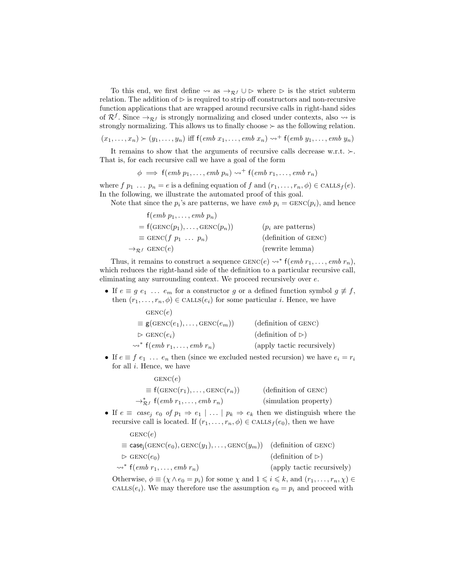To this end, we first define  $\rightsquigarrow$  as  $\rightarrow_{\mathcal{R}f} \cup \triangleright$  where  $\triangleright$  is the strict subterm relation. The addition of  $\triangleright$  is required to strip off constructors and non-recursive function applications that are wrapped around recursive calls in right-hand sides of  $\mathcal{R}^f$ . Since  $\rightarrow_{\mathcal{R}^f}$  is strongly normalizing and closed under contexts, also  $\rightsquigarrow$  is strongly normalizing. This allows us to finally choose  $\succ$  as the following relation.

$$
(x_1,\ldots,x_n)\succ(y_1,\ldots,y_n)
$$
 iff  $f(emb\ x_1,\ldots,emb\ x_n)\leadsto^+ f(emb\ y_1,\ldots,emb\ y_n)$ 

It remains to show that the arguments of recursive calls decrease w.r.t.  $\succ$ . That is, for each recursive call we have a goal of the form

$$
\phi \implies f(\text{emb } p_1, \ldots, \text{emb } p_n) \rightsquigarrow^+ f(\text{emb } r_1, \ldots, \text{emb } r_n)
$$

where  $f$   $p_1$  ...  $p_n = e$  is a defining equation of  $f$  and  $(r_1, \ldots, r_n, \phi) \in \text{CALLS}_f(e)$ . In the following, we illustrate the automated proof of this goal.

Note that since the  $p_i$ 's are patterns, we have  $emb\ p_i = \text{GENC}(p_i)$ , and hence

| $f(emb \ p_1, \ldots, emb \ p_n)$                 |                              |
|---------------------------------------------------|------------------------------|
| $= f(\text{GENC}(p_1), \ldots, \text{GENC}(p_n))$ | $(p_i \text{ are patterns})$ |
| $\equiv$ GENC(f $p_1 \ldots p_n$ )                | (definition of GENC)         |
| $\rightarrow_{\mathcal{R}^f}$ GENC(e)             | (rewrite lemma)              |

Thus, it remains to construct a sequence  $GENC(e) \rightsquigarrow^* f(emb \ r_1, \ldots, emb \ r_n)$ , which reduces the right-hand side of the definition to a particular recursive call, eliminating any surrounding context. We proceed recursively over e.

• If  $e \equiv g \, e_1 \, \ldots \, e_m$  for a constructor g or a defined function symbol  $g \not\equiv f$ , then  $(r_1, \ldots, r_n, \phi) \in \text{CALLS}(e_i)$  for some particular *i*. Hence, we have

| GENC(e)                                               |                                   |
|-------------------------------------------------------|-----------------------------------|
| $\equiv$ g(GENC( $e_1$ ), , GENC( $e_m$ ))            | (definition of GENC)              |
| $\triangleright$ GENC $(e_i)$                         | (definition of $\triangleright$ ) |
| $\rightsquigarrow^*$ f(emb $r_1, \dots$ , emb $r_n$ ) | (apply tactic recursively)        |

• If  $e \equiv f \, e_1 \, \ldots \, e_n$  then (since we excluded nested recursion) we have  $e_i = r_i$ for all  $i$ . Hence, we have

| GENC(e)                                                          |                       |
|------------------------------------------------------------------|-----------------------|
| $\equiv f(\text{GENC}(r_1), \ldots, \text{GENC}(r_n))$           | (definition of GENC)  |
| $\rightarrow_{\mathcal{R}f}^*$ f(emb $r_1, \ldots$ , emb $r_n$ ) | (simulation property) |

• If  $e \equiv \text{case}_j \ e_0 \text{ of } p_1 \Rightarrow e_1 \mid \ldots \mid p_k \Rightarrow e_k$  then we distinguish where the recursive call is located. If  $(r_1, \ldots, r_n, \phi) \in \text{CALLS}_f(e_0)$ , then we have

| GENC(e)                                                                    |                                   |
|----------------------------------------------------------------------------|-----------------------------------|
| $\equiv$ case <sub>i</sub> (GENC( $e_0$ ), GENC( $y_1$ ), , GENC( $y_m$ )) | (definition of GENC)              |
| $\triangleright$ GENC( $e_0$ )                                             | (definition of $\triangleright$ ) |
| $\rightsquigarrow^*$ f(emb $r_1, \dots$ , emb $r_n$ )                      | (apply tactic recursively)        |

Otherwise,  $\phi \equiv (\chi \wedge e_0 = p_i)$  for some  $\chi$  and  $1 \leq i \leq k$ , and  $(r_1, \ldots, r_n, \chi) \in$ CALLS $(e_i)$ . We may therefore use the assumption  $e_0 = p_i$  and proceed with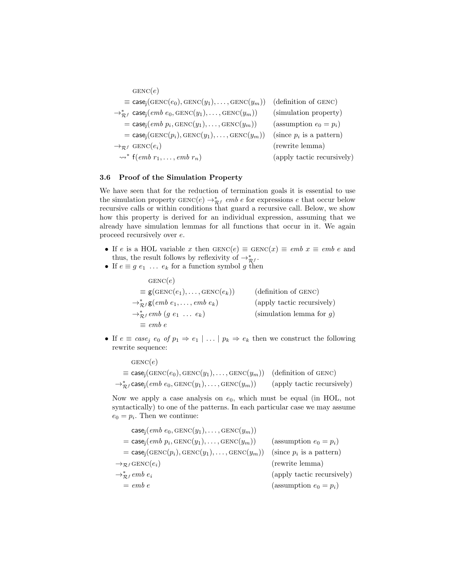$$
\begin{aligned}\n&\text{GENC}(e) \\
&\equiv \text{case}_\text{j}(\text{GENC}(e_0), \text{GENC}(y_1), \dots, \text{GENC}(y_m)) \quad \text{(definition of GENC)} \\
&\rightarrow_{\mathcal{R}^f}^* \text{case}_\text{j}(emb \ e_0, \text{GENC}(y_1), \dots, \text{GENC}(y_m)) \quad \text{(simulation property)} \\
&= \text{case}_\text{j}(emb \ p_i, \text{GENC}(y_1), \dots, \text{GENC}(y_m)) \quad \text{(assumption } e_0 = p_i) \\
&= \text{case}_\text{j}(\text{GENC}(p_i), \text{GENC}(y_1), \dots, \text{GENC}(y_m)) \quad \text{(since } p_i \text{ is a pattern)} \\
&\rightarrow_{\mathcal{R}^f} \text{GENC}(e_i) \quad \text{(rewrite lemma)} \\
&\rightarrow^* f(em \ r_1, \dots, emb \ r_n) \quad \text{(apply tactile recursively)}\n\end{aligned}
$$

#### <span id="page-10-0"></span>3.6 Proof of the Simulation Property

We have seen that for the reduction of termination goals it is essential to use the simulation property  $GENC(e) \to_{\mathcal{R}f}^* emb e$  for expressions e that occur below recursive calls or within conditions that guard a recursive call. Below, we show how this property is derived for an individual expression, assuming that we already have simulation lemmas for all functions that occur in it. We again proceed recursively over e.

- If e is a HOL variable x then  $GENC(e) \equiv GENC(x) \equiv emb \; x \equiv emb \; e$  and thus, the result follows by reflexivity of  $\rightarrow_{\mathcal{R}^f}^*$ .
- If  $e \equiv g \, e_1 \, \ldots \, e_k$  for a function symbol g then

| GENC(e)                                                                 |                             |
|-------------------------------------------------------------------------|-----------------------------|
| $\equiv$ g(GENC $(e_1), \ldots,$ GENC $(e_k)$ )                         | (definition of GENC)        |
| $\rightarrow_{\mathcal{R}f}^* \mathsf{g}(emb \ e_1, \ldots, emb \ e_k)$ | (apply tactic recursively)  |
| $\rightarrow_{\mathcal{R}f}^* emb(g e_1 \ldots e_k)$                    | (simulation lemma for $g$ ) |
| $\equiv$ emb e                                                          |                             |

• If  $e \equiv \text{case}_j \, e_0 \, \text{of } p_1 \Rightarrow e_1 \mid \ldots \mid p_k \Rightarrow e_k$  then we construct the following rewrite sequence:

 $GENC(e)$  $\equiv \text{case}_i(\text{GENC}(e_0), \text{GENC}(y_1), \ldots, \text{GENC}(y_m))$  (definition of GENC)  $\rightarrow_{\mathcal{R}f}^*$ case<sub>j</sub>(*emb e*<sub>0</sub>, GENC(y<sub>1</sub>), ..., GENC(y<sub>m</sub>)) (apply tactic recursively)

Now we apply a case analysis on  $e_0$ , which must be equal (in HOL, not syntactically) to one of the patterns. In each particular case we may assume  $e_0 = p_i$ . Then we continue:

$$
\begin{aligned}\n\text{case}_j(\text{emb } e_0, \text{GENC}(y_1), \dots, \text{GENC}(y_m)) \\
&= \text{case}_j(\text{emb } p_i, \text{GENC}(y_1), \dots, \text{GENC}(y_m)) \qquad \text{(assumption } e_0 = p_i) \\
&= \text{case}_j(\text{GENC}(p_i), \text{GENC}(y_1), \dots, \text{GENC}(y_m)) \qquad \text{(since } p_i \text{ is a pattern)} \\
&\to_{\mathcal{R}^f} \text{GENC}(e_i) \qquad \qquad (\text{rewrite lemma}) \\
&\to_{\mathcal{R}^f} \text{emb } e_i \qquad \qquad (\text{apply tactic recursively}) \\
&= \text{emb } e \qquad \qquad (\text{assumption } e_0 = p_i)\n\end{aligned}
$$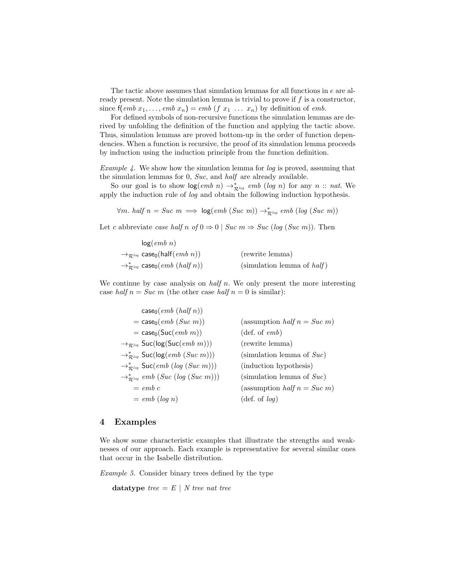The tactic above assumes that simulation lemmas for all functions in e are already present. Note the simulation lemma is trivial to prove if  $f$  is a constructor, since  $f(emb\ x_1, \ldots, emb\ x_n) = emb\ (f\ x_1\ \ldots\ x_n)$  by definition of emb.

For defined symbols of non-recursive functions the simulation lemmas are derived by unfolding the definition of the function and applying the tactic above. Thus, simulation lemmas are proved bottom-up in the order of function dependencies. When a function is recursive, the proof of its simulation lemma proceeds by induction using the induction principle from the function definition.

*Example 4.* We show how the simulation lemma for  $log$  is proved, assuming that the simulation lemmas for 0, Suc, and half are already available.

So our goal is to show  $log(emb\;n) \rightarrow_{\mathcal{R}^{log}}^* emb\;(log\;n)$  for any  $n :: nat$ . We apply the induction rule of log and obtain the following induction hypothesis.

 $\forall m. \; half \; n = Succ \; m \implies \log(em \; (Suc \; m)) \rightarrow_{\mathcal{R}^{log}}^* \; emb \; (log \; (Suc \; m))$ 

Let c abbreviate case half n of  $0 \Rightarrow 0 \mid Suc \ m \Rightarrow Suc \ (log (Suc \ m))$ . Then

| $log(emb\;n)$                                                              |                               |
|----------------------------------------------------------------------------|-------------------------------|
| $\rightarrow_{\mathcal{R}^{log}}$ case <sub>0</sub> (half( <i>emb n</i> )) | (rewrite lemma)               |
| $\rightarrow_{\mathcal{R}^{log}}^*$ case <sub>0</sub> $(emb(half n))$      | (simulation lemma of $half$ ) |

We continue by case analysis on  $half\ n$ . We only present the more interesting case *half*  $n = Succ m$  (the other case *half*  $n = 0$  is similar):

| $case_0(emb(half n))$                                                      |                                        |
|----------------------------------------------------------------------------|----------------------------------------|
| $= \cose0(emb (Suc m))$                                                    | (assumption <i>half</i> $n = Succ m$ ) |
| $= \cose_0(\text{Suc}(emb \ m))$                                           | $(\text{def. of } emb)$                |
| $\rightarrow_{\mathcal{R}^{log}}$ Suc(log(Suc( <i>emb m</i> )))            | (rewrite lemma)                        |
| $\rightarrow_{\mathcal{R}^{log}}^*$ Suc(log( <i>emb</i> ( <i>Suc m</i> ))) | (simulation lemma of $Suc$ )           |
| $\rightarrow_{\mathcal{R}^{log}}^*$ Suc $(emb (log (Suc m)))$              | (induction hypothesis)                 |
| $\rightarrow_{\mathcal{R}^{log}}^*$ emb (Suc (log (Suc m)))                | (simulation lemma of $Suc$ )           |
| $=$ emb c                                                                  | (assumption <i>half</i> $n = Succ m$ ) |
| $= emb (log n)$                                                            | $(\text{def. of } log)$                |

# <span id="page-11-0"></span>4 Examples

We show some characteristic examples that illustrate the strengths and weaknesses of our approach. Each example is representative for several similar ones that occur in the Isabelle distribution.

<span id="page-11-1"></span>Example 5. Consider binary trees defined by the type

datatype tree =  $E \mid N$  tree nat tree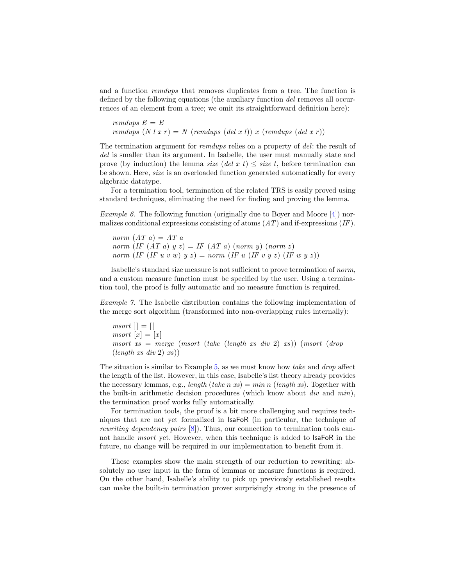and a function *remdups* that removes duplicates from a tree. The function is defined by the following equations (the auxiliary function del removes all occurrences of an element from a tree; we omit its straightforward definition here):

```
remdups E = Eremdups (N \mid x \mid r) = N (remdups (del x l)) x (remdups (del x r))
```
The termination argument for *remdups* relies on a property of del: the result of del is smaller than its argument. In Isabelle, the user must manually state and prove (by induction) the lemma size (del x t)  $\leq$  size t, before termination can be shown. Here, size is an overloaded function generated automatically for every algebraic datatype.

For a termination tool, termination of the related TRS is easily proved using standard techniques, eliminating the need for finding and proving the lemma.

*Example 6.* The following function (originally due to Boyer and Moore  $[4]$ ) normalizes conditional expressions consisting of atoms  $(AT)$  and if-expressions  $(IF)$ .

norm  $(AT \ a) = AT \ a$ norm (IF  $(AT \ a) \ y \ z) = IF \ (AT \ a) \ (norm \ y) \ (norm \ z)$ norm (IF (IF u v w)  $y z$ ) = norm (IF u (IF v y z) (IF w y z))

Isabelle's standard size measure is not sufficient to prove termination of norm, and a custom measure function must be specified by the user. Using a termination tool, the proof is fully automatic and no measure function is required.

Example 7. The Isabelle distribution contains the following implementation of the merge sort algorithm (transformed into non-overlapping rules internally):

```
msort | = |msort [x] = [x]msort xs = merge (msort (take (length xs div 2) xs)) (msort (drop(lenath \; xs \; div \; 2) \; xs))
```
The situation is similar to Example [5,](#page-11-1) as we must know how take and drop affect the length of the list. However, in this case, Isabelle's list theory already provides the necessary lemmas, e.g., *length* (take n xs) =  $min n$  (*length xs*). Together with the built-in arithmetic decision procedures (which know about div and min), the termination proof works fully automatically.

For termination tools, the proof is a bit more challenging and requires techniques that are not yet formalized in IsaFoR (in particular, the technique of *rewriting dependency pairs* [\[8\]](#page-15-17)). Thus, our connection to termination tools cannot handle *msort* yet. However, when this technique is added to **IsaFoR** in the future, no change will be required in our implementation to benefit from it.

These examples show the main strength of our reduction to rewriting: absolutely no user input in the form of lemmas or measure functions is required. On the other hand, Isabelle's ability to pick up previously established results can make the built-in termination prover surprisingly strong in the presence of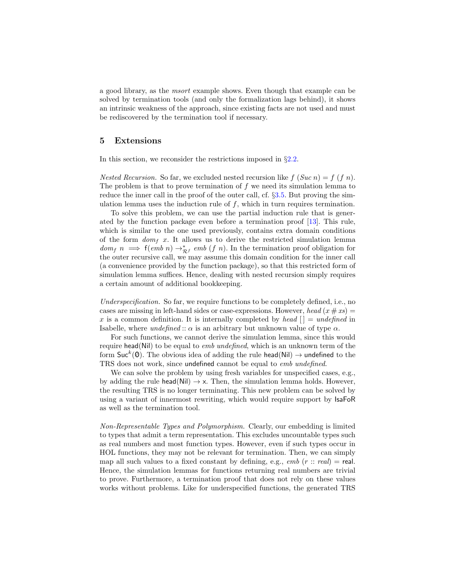a good library, as the msort example shows. Even though that example can be solved by termination tools (and only the formalization lags behind), it shows an intrinsic weakness of the approach, since existing facts are not used and must be rediscovered by the termination tool if necessary.

# <span id="page-13-0"></span>5 Extensions

In this section, we reconsider the restrictions imposed in  $\S 2.2$ .

*Nested Recursion.* So far, we excluded nested recursion like  $f(Suc n) = f(f n)$ . The problem is that to prove termination of  $f$  we need its simulation lemma to reduce the inner call in the proof of the outer call, cf. §[3.5.](#page-8-0) But proving the simulation lemma uses the induction rule of  $f$ , which in turn requires termination.

To solve this problem, we can use the partial induction rule that is generated by the function package even before a termination proof [\[13\]](#page-15-12). This rule, which is similar to the one used previously, contains extra domain conditions of the form  $dom_f$  x. It allows us to derive the restricted simulation lemma  $dom_f n \implies f(emh n) \rightarrow_{\mathcal{R}f}^* emb(f n)$ . In the termination proof obligation for the outer recursive call, we may assume this domain condition for the inner call (a convenience provided by the function package), so that this restricted form of simulation lemma suffices. Hence, dealing with nested recursion simply requires a certain amount of additional bookkeeping.

Underspecification. So far, we require functions to be completely defined, i.e., no cases are missing in left-hand sides or case-expressions. However, head  $(x \# xs)$ x is a common definition. It is internally completed by head  $| \cdot | =$  undefined in Isabelle, where *undefined* ::  $\alpha$  is an arbitrary but unknown value of type  $\alpha$ .

For such functions, we cannot derive the simulation lemma, since this would require head(Nil) to be equal to *emb undefined*, which is an unknown term of the form  $\mathsf{Suc}^k(\mathsf{0})$ . The obvious idea of adding the rule head(Nil)  $\rightarrow$  undefined to the TRS does not work, since undefined cannot be equal to emb undefined.

We can solve the problem by using fresh variables for unspecified cases, e.g., by adding the rule head(Nil)  $\rightarrow$  x. Then, the simulation lemma holds. However, the resulting TRS is no longer terminating. This new problem can be solved by using a variant of innermost rewriting, which would require support by IsaFoR as well as the termination tool.

Non-Representable Types and Polymorphism. Clearly, our embedding is limited to types that admit a term representation. This excludes uncountable types such as real numbers and most function types. However, even if such types occur in HOL functions, they may not be relevant for termination. Then, we can simply map all such values to a fixed constant by defining, e.g.,  $emb (r :: real) = real$ . Hence, the simulation lemmas for functions returning real numbers are trivial to prove. Furthermore, a termination proof that does not rely on these values works without problems. Like for underspecified functions, the generated TRS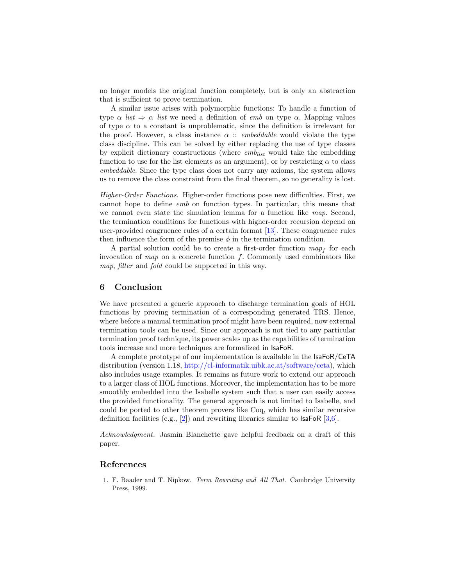no longer models the original function completely, but is only an abstraction that is sufficient to prove termination.

A similar issue arises with polymorphic functions: To handle a function of type  $\alpha$  list  $\Rightarrow \alpha$  list we need a definition of emb on type  $\alpha$ . Mapping values of type  $\alpha$  to a constant is unproblematic, since the definition is irrelevant for the proof. However, a class instance  $\alpha$  :: *embeddable* would violate the type class discipline. This can be solved by either replacing the use of type classes by explicit dictionary constructions (where  $emb_{list}$  would take the embedding function to use for the list elements as an argument), or by restricting  $\alpha$  to class embeddable. Since the type class does not carry any axioms, the system allows us to remove the class constraint from the final theorem, so no generality is lost.

Higher-Order Functions. Higher-order functions pose new difficulties. First, we cannot hope to define emb on function types. In particular, this means that we cannot even state the simulation lemma for a function like map. Second, the termination conditions for functions with higher-order recursion depend on user-provided congruence rules of a certain format [\[13\]](#page-15-12). These congruence rules then influence the form of the premise  $\phi$  in the termination condition.

A partial solution could be to create a first-order function  $map_f$  for each invocation of map on a concrete function  $f$ . Commonly used combinators like map, filter and fold could be supported in this way.

# <span id="page-14-0"></span>6 Conclusion

We have presented a generic approach to discharge termination goals of HOL functions by proving termination of a corresponding generated TRS. Hence, where before a manual termination proof might have been required, now external termination tools can be used. Since our approach is not tied to any particular termination proof technique, its power scales up as the capabilities of termination tools increase and more techniques are formalized in IsaFoR.

A complete prototype of our implementation is available in the IsaFoR/CeTA distribution (version 1.18, [http://cl-informatik.uibk.ac.at/software/ceta\)](http://cl-informatik.uibk.ac.at/software/ceta), which also includes usage examples. It remains as future work to extend our approach to a larger class of HOL functions. Moreover, the implementation has to be more smoothly embedded into the Isabelle system such that a user can easily access the provided functionality. The general approach is not limited to Isabelle, and could be ported to other theorem provers like Coq, which has similar recursive definition facilities (e.g.,  $[2]$ ) and rewriting libraries similar to  $IsaFoR$   $[3,6]$  $[3,6]$ .

Acknowledgment. Jasmin Blanchette gave helpful feedback on a draft of this paper.

# References

<span id="page-14-1"></span>1. F. Baader and T. Nipkow. Term Rewriting and All That. Cambridge University Press, 1999.